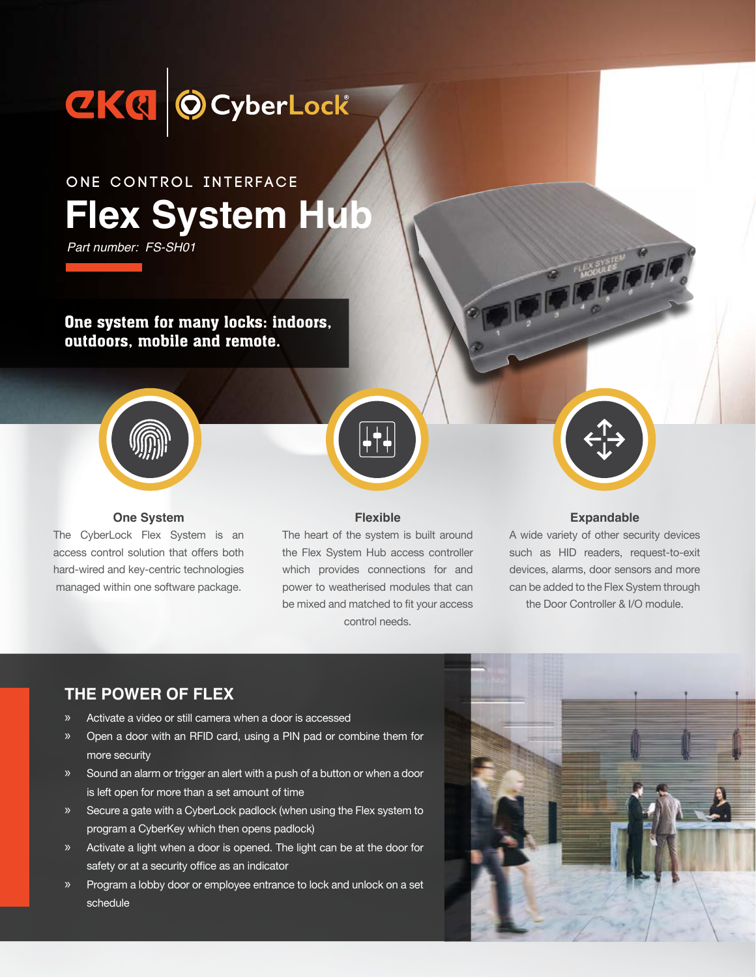

# **Flex System Hub ONE CONTROL INTERFACE**

*Part number: FS-SH01*

## One system for many locks: indoors, outdoors, mobile and remote.



#### **One System**

The CyberLock Flex System is an access control solution that offers both hard-wired and key-centric technologies managed within one software package.

#### **Flexible**

The heart of the system is built around the Flex System Hub access controller which provides connections for and power to weatherised modules that can be mixed and matched to fit your access control needs.

#### **Expandable**

A wide variety of other security devices such as HID readers, request-to-exit devices, alarms, door sensors and more can be added to the Flex System through the Door Controller & I/O module.

### **THE POWER OF FLEX**

- Activate a video or still camera when a door is accessed
- » Open a door with an RFID card, using a PIN pad or combine them for more security
- » Sound an alarm or trigger an alert with a push of a button or when a door is left open for more than a set amount of time
- » Secure a gate with a CyberLock padlock (when using the Flex system to program a CyberKey which then opens padlock)
- » Activate a light when a door is opened. The light can be at the door for safety or at a security office as an indicator
- » Program a lobby door or employee entrance to lock and unlock on a set schedule